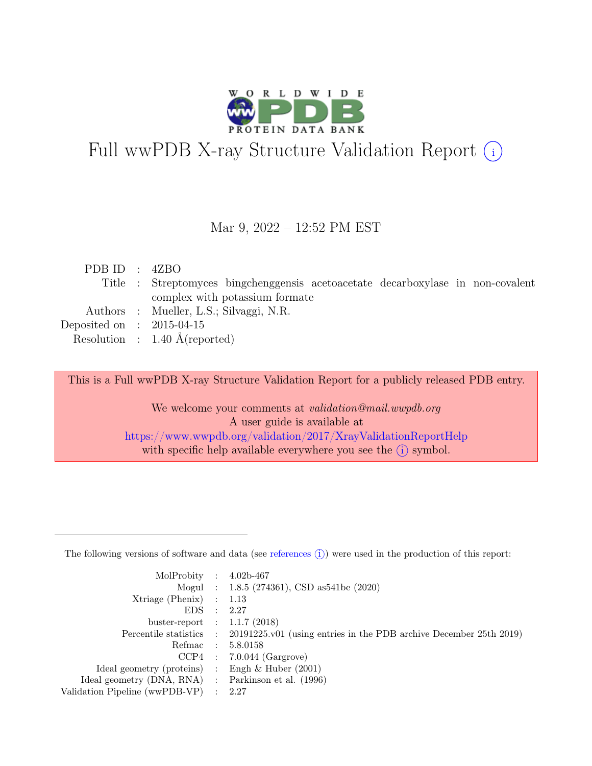

# Full wwPDB X-ray Structure Validation Report  $(i)$

#### Mar 9, 2022 – 12:52 PM EST

| PDB ID : $4ZBO$             |                                                                                 |
|-----------------------------|---------------------------------------------------------------------------------|
|                             | Title : Streptomyces bingchenggensis acetoacetate decarboxylase in non-covalent |
|                             | complex with potassium formate                                                  |
|                             | Authors : Mueller, L.S.; Silvaggi, N.R.                                         |
| Deposited on : $2015-04-15$ |                                                                                 |
|                             | Resolution : $1.40 \text{ Å}$ (reported)                                        |

This is a Full wwPDB X-ray Structure Validation Report for a publicly released PDB entry.

We welcome your comments at *validation@mail.wwpdb.org* A user guide is available at <https://www.wwpdb.org/validation/2017/XrayValidationReportHelp> with specific help available everywhere you see the  $(i)$  symbol.

The following versions of software and data (see [references](https://www.wwpdb.org/validation/2017/XrayValidationReportHelp#references)  $(i)$ ) were used in the production of this report:

| MolProbity : $4.02b-467$                            |                                                                                            |
|-----------------------------------------------------|--------------------------------------------------------------------------------------------|
|                                                     | Mogul : 1.8.5 (274361), CSD as 541be (2020)                                                |
| $Xtriangle (Phenix)$ : 1.13                         |                                                                                            |
| EDS : 2.27                                          |                                                                                            |
| buster-report : $1.1.7$ (2018)                      |                                                                                            |
|                                                     | Percentile statistics : 20191225.v01 (using entries in the PDB archive December 25th 2019) |
|                                                     | Refmac : 5.8.0158                                                                          |
|                                                     | $CCP4$ : 7.0.044 (Gargrove)                                                                |
| Ideal geometry (proteins) : Engh $\&$ Huber (2001)  |                                                                                            |
| Ideal geometry (DNA, RNA) : Parkinson et al. (1996) |                                                                                            |
| Validation Pipeline (wwPDB-VP) : 2.27               |                                                                                            |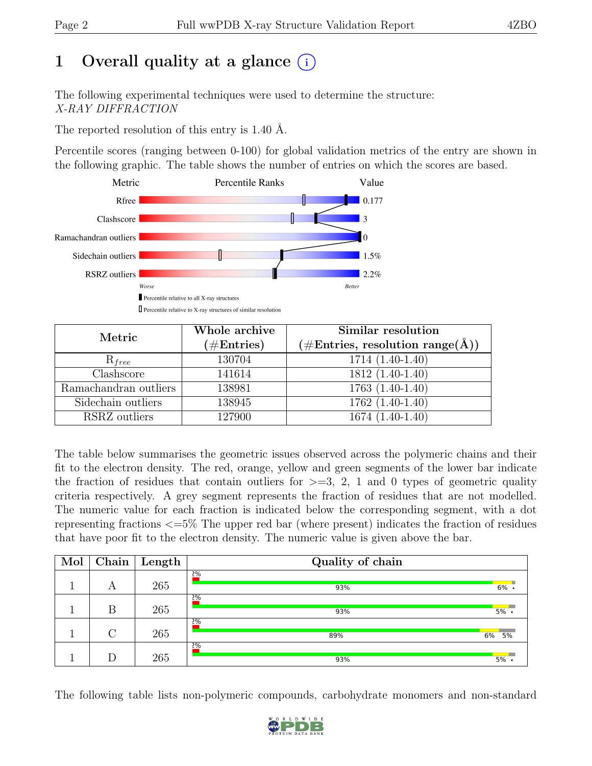# 1 Overall quality at a glance  $(i)$

The following experimental techniques were used to determine the structure: X-RAY DIFFRACTION

The reported resolution of this entry is 1.40 Å.

Percentile scores (ranging between 0-100) for global validation metrics of the entry are shown in the following graphic. The table shows the number of entries on which the scores are based.



| Metric                | Whole archive<br>$(\#Entries)$ | Similar resolution<br>$(\# \text{Entries}, \text{ resolution } \text{range}(\AA))$ |  |  |
|-----------------------|--------------------------------|------------------------------------------------------------------------------------|--|--|
| $R_{free}$            | 130704                         | 1714 (1.40-1.40)                                                                   |  |  |
| Clashscore            | 141614                         | 1812 (1.40-1.40)                                                                   |  |  |
| Ramachandran outliers | 138981                         | $1763(1.40-1.40)$                                                                  |  |  |
| Sidechain outliers    | 138945                         | $1762(1.40-1.40)$                                                                  |  |  |
| RSRZ outliers         | 127900                         | 1674 (1.40-1.40)                                                                   |  |  |

The table below summarises the geometric issues observed across the polymeric chains and their fit to the electron density. The red, orange, yellow and green segments of the lower bar indicate the fraction of residues that contain outliers for  $\geq$ =3, 2, 1 and 0 types of geometric quality criteria respectively. A grey segment represents the fraction of residues that are not modelled. The numeric value for each fraction is indicated below the corresponding segment, with a dot representing fractions <=5% The upper red bar (where present) indicates the fraction of residues that have poor fit to the electron density. The numeric value is given above the bar.

| Mol | Chain  | $\mathbf{Length}$ | Quality of chain |         |
|-----|--------|-------------------|------------------|---------|
|     | А      | 265               | 2%<br>93%        | $6\%$ . |
|     | B      | 265               | 2%<br>93%        | $5\%$ . |
|     | $\cap$ | 265               | 2%<br>89%        | 6% 5%   |
|     | D      | 265               | 2%<br>93%        | 5%      |

The following table lists non-polymeric compounds, carbohydrate monomers and non-standard

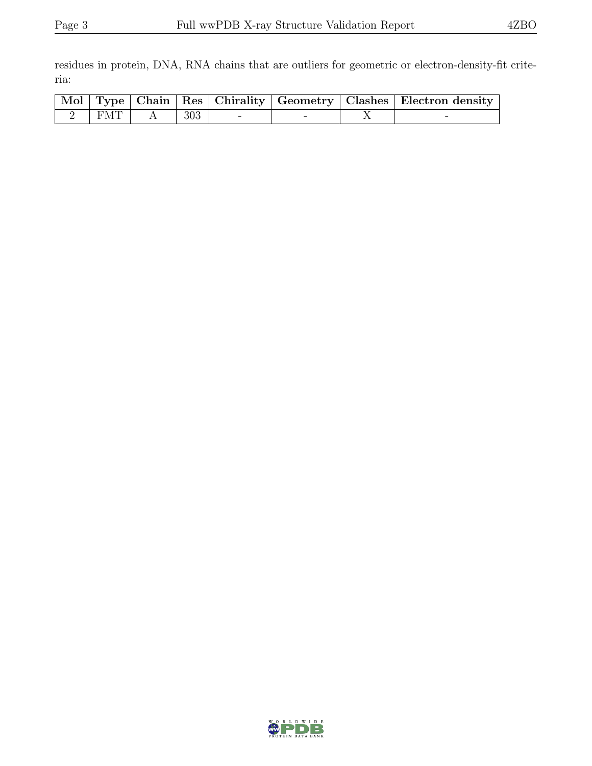residues in protein, DNA, RNA chains that are outliers for geometric or electron-density-fit criteria:

|     |     |  | Mol   Type   Chain   Res   Chirality   Geometry   Clashes   Electron density |
|-----|-----|--|------------------------------------------------------------------------------|
| FMT | 303 |  |                                                                              |

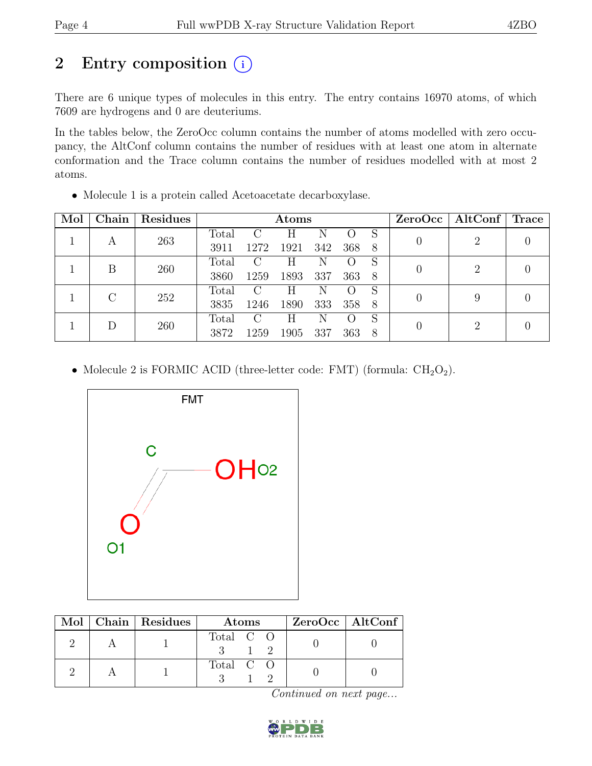# 2 Entry composition  $(i)$

There are 6 unique types of molecules in this entry. The entry contains 16970 atoms, of which 7609 are hydrogens and 0 are deuteriums.

In the tables below, the ZeroOcc column contains the number of atoms modelled with zero occupancy, the AltConf column contains the number of residues with at least one atom in alternate conformation and the Trace column contains the number of residues modelled with at most 2 atoms.

| Mol | Chain         | <b>Residues</b> |               | Atoms         |      |     |     |    | ZeroOcc | $\mathrm{AltConf} \mid \mathrm{Trace}$ |  |
|-----|---------------|-----------------|---------------|---------------|------|-----|-----|----|---------|----------------------------------------|--|
|     |               | 263             | Total         | C             | Н    | N   |     | S  |         | 2                                      |  |
|     | A             |                 | 3911          | 1272          | 1921 | 342 | 368 | -8 |         |                                        |  |
|     | В             | 260             | Total         | C             | Н    | N   |     | S  |         | 2                                      |  |
|     |               |                 | 3860          | 1259          | 1893 | 337 | 363 | 8  |         |                                        |  |
|     | $\mathcal{C}$ | 252             | Total         | $\mathcal{C}$ | Η    | N   |     | S  |         | 9                                      |  |
|     |               |                 | 3835          | 1246          | 1890 | 333 | 358 | 8  |         |                                        |  |
|     | 260           | Total           | $\mathcal{C}$ | H             | N    |     | S   |    |         |                                        |  |
|     |               |                 | 3872          | 1259          | 1905 | 337 | 363 | 8  |         | 2                                      |  |

• Molecule 2 is FORMIC ACID (three-letter code: FMT) (formula:  $CH<sub>2</sub>O<sub>2</sub>$ ).



|  | Mol   Chain   Residues | Atoms     | ZeroOcc   AltConf |
|--|------------------------|-----------|-------------------|
|  |                        | Total C O |                   |
|  |                        | Total C O |                   |

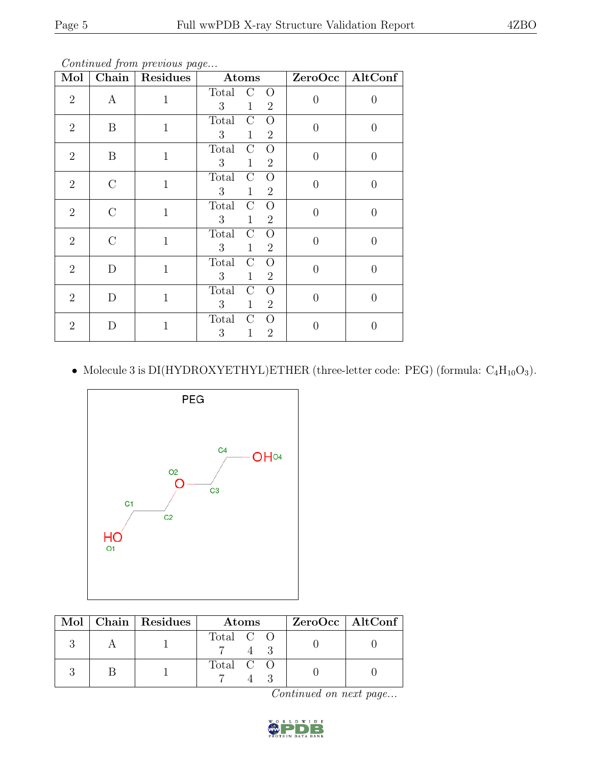Continued from previous page...

| Mol            | Chain            | Residues     | Atoms                                                                                        | ZeroOcc   AltConf |          |
|----------------|------------------|--------------|----------------------------------------------------------------------------------------------|-------------------|----------|
| $\overline{2}$ | $\boldsymbol{A}$ | $\mathbf{1}$ | $\mathcal{C}$<br>Total<br>$\Omega$<br>3<br>$\mathbf{1}$<br>$\overline{2}$                    | $\overline{0}$    | 0        |
| $\overline{2}$ | B                | $\mathbf{1}$ | Total<br>$\overline{O}$<br>$\rm C$<br>3<br>$\overline{2}$<br>$\mathbf{1}$                    | $\overline{0}$    | 0        |
| $\overline{2}$ | B                | $\mathbf{1}$ | <b>Total</b><br>$\overline{C}$<br>$\overline{O}$<br>3<br>$\overline{2}$<br>$\mathbf{1}$      | $\overline{0}$    | 0        |
| $\overline{2}$ | $\mathcal{C}$    | $\mathbf{1}$ | <b>Total</b><br>$\overline{O}$<br>$\mathcal{C}$<br>3<br>$\mathbf{1}$<br>$\overline{2}$       | $\overline{0}$    | 0        |
| $\overline{2}$ | $\mathcal{C}$    | $\mathbf{1}$ | Total<br>$\rm C$<br>$\overline{O}$<br>3<br>$\mathbf{1}$<br>$\overline{2}$                    | $\theta$          | $\Omega$ |
| $\overline{2}$ | $\rm C$          | $\mathbf{1}$ | $\mathcal{C}$<br>Total<br>$\overline{O}$<br>$\overline{3}$<br>$\mathbf{1}$<br>$\overline{2}$ | $\overline{0}$    | $\theta$ |
| $\overline{2}$ | D                | $\mathbf{1}$ | Total<br>$\mathcal{C}$<br>$\overline{O}$<br>3<br>$\mathbf{1}$<br>$\overline{2}$              | $\overline{0}$    | 0        |
| $\overline{2}$ | D                | $\mathbf{1}$ | Total<br>$\rm C$<br>$\rm{O}$<br>3 <sup>1</sup><br>$\mathbf{1}$<br>$\overline{2}$             | $\overline{0}$    | 0        |
| $\overline{2}$ | D                | $\mathbf{1}$ | Total<br>$\rm C$<br>$\rm{O}$<br>3<br>$\overline{2}$<br>$\mathbf{1}$                          | O                 |          |

• Molecule 3 is DI(HYDROXYETHYL)ETHER (three-letter code: PEG) (formula:  $C_4H_{10}O_3$ ).



|  | Mol   Chain   Residues | Atoms                    | ZeroOcc   AltConf |
|--|------------------------|--------------------------|-------------------|
|  |                        | Total C O                |                   |
|  |                        | Total $C$ $\overline{O}$ |                   |

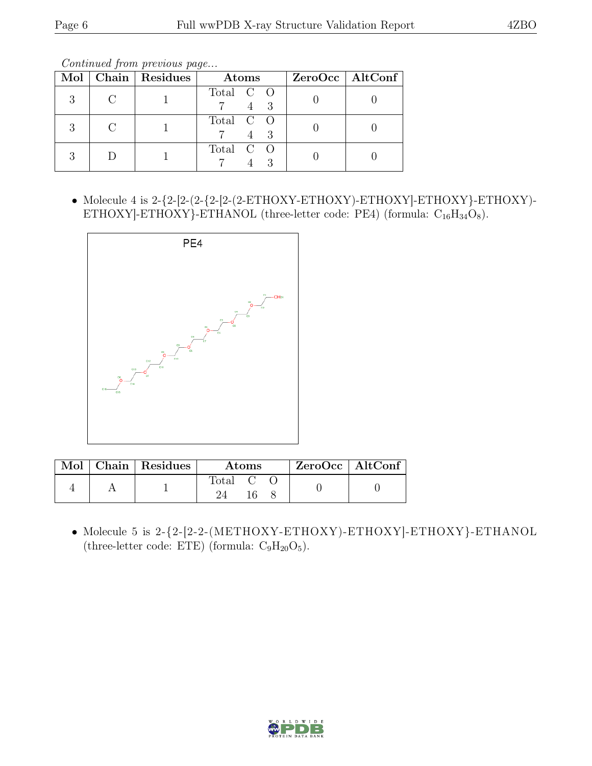Continued from previous page...

|  | Mol   Chain   Residues | Atoms     | $ZeroOcc \   \$ AltConf |
|--|------------------------|-----------|-------------------------|
|  |                        | Total C O |                         |
|  |                        | Total C O |                         |
|  |                        | Total C O |                         |

• Molecule 4 is  $2-\{2-\left[2-\left(2-\text{ETHOXY}-\text{ETHOXY}\right)-\text{ETHOXY}\right]-\text{ETHOXY}\}-\right.$ ETHOXY]-ETHOXY}-ETHANOL (three-letter code: PE4) (formula:  $C_{16}H_{34}O_8$ ).



|  | Mol   Chain   Residues | Atoms              |  |  | $\vert$ ZeroOcc $\vert$ AltConf $\vert$ |  |
|--|------------------------|--------------------|--|--|-----------------------------------------|--|
|  |                        | Total <sub>C</sub> |  |  |                                         |  |

• Molecule 5 is 2-{2-[2-2-(METHOXY-ETHOXY)-ETHOXY]-ETHOXY}-ETHANOL (three-letter code: ETE) (formula:  $C_9H_{20}O_5$ ).

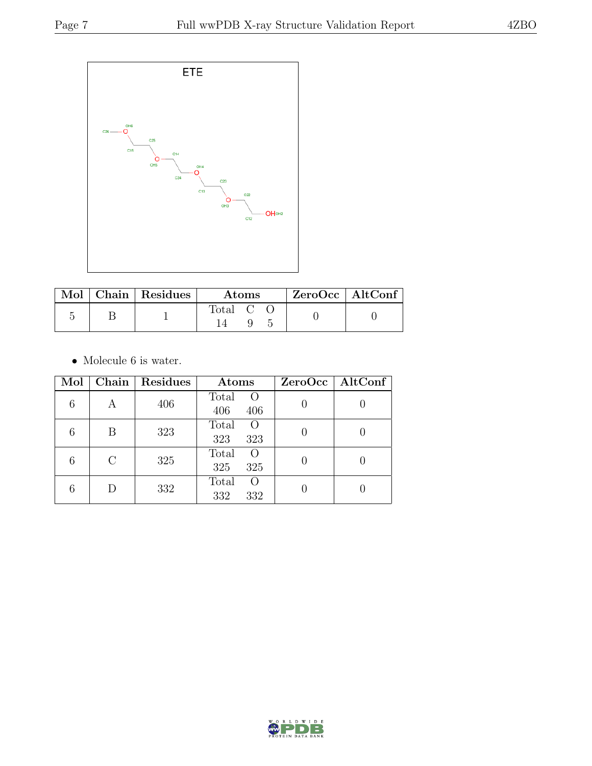

|  | $\mathbf{Mol}$   Chain   Residues | <b>Atoms</b> |  | $ZeroOcc \mid AltConf$ |  |  |
|--|-----------------------------------|--------------|--|------------------------|--|--|
|  |                                   | Total C      |  |                        |  |  |

 $\bullet\,$  Molecule 6 is water.

| Mol |               | Chain   Residues | Atoms                                 | $ZeroOcc \mid AltConf \mid$ |
|-----|---------------|------------------|---------------------------------------|-----------------------------|
| 6   | А             | 406              | Total<br>$\overline{O}$<br>406<br>406 |                             |
|     | В             | 323              | Total<br>O<br>323<br>323              |                             |
| 6   | $\mathcal{C}$ | 325              | Total<br>$\Omega$<br>325<br>325       |                             |
|     | D             | 332              | Total<br>O<br>332<br>332              |                             |

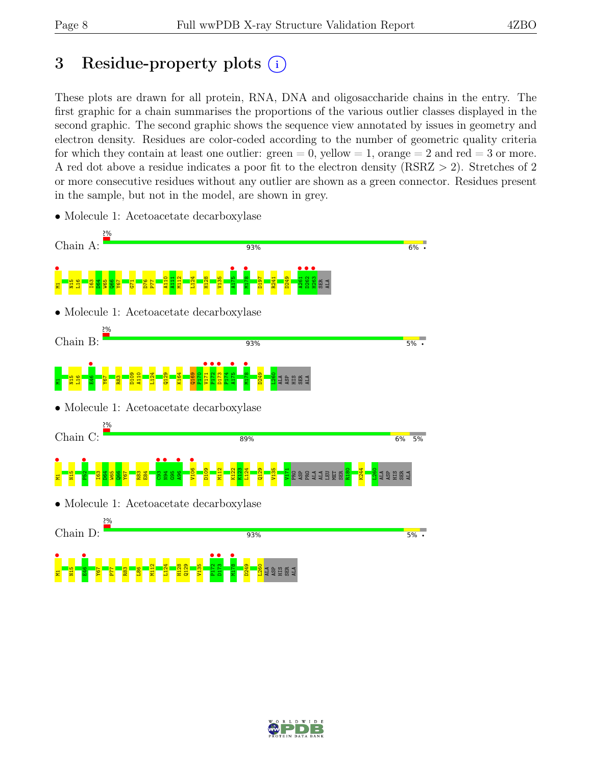# 3 Residue-property plots  $(i)$

These plots are drawn for all protein, RNA, DNA and oligosaccharide chains in the entry. The first graphic for a chain summarises the proportions of the various outlier classes displayed in the second graphic. The second graphic shows the sequence view annotated by issues in geometry and electron density. Residues are color-coded according to the number of geometric quality criteria for which they contain at least one outlier:  $green = 0$ , yellow  $= 1$ , orange  $= 2$  and red  $= 3$  or more. A red dot above a residue indicates a poor fit to the electron density (RSRZ > 2). Stretches of 2 or more consecutive residues without any outlier are shown as a green connector. Residues present in the sample, but not in the model, are shown in grey.



• Molecule 1: Acetoacetate decarboxylase

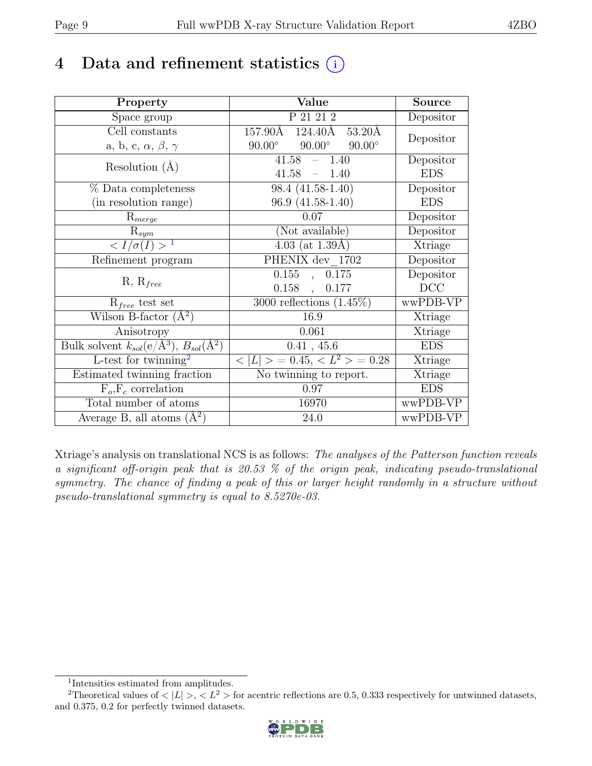# 4 Data and refinement statistics  $(i)$

| Property                                                         | Value                                           | <b>Source</b> |
|------------------------------------------------------------------|-------------------------------------------------|---------------|
| Space group                                                      | $P\overline{21\ 21\ 2}$                         | Depositor     |
| Cell constants                                                   | 157.90Å 124.40Å<br>53.20Å                       | Depositor     |
| a, b, c, $\alpha$ , $\beta$ , $\gamma$                           | $90.00^\circ$<br>$90.00^\circ$<br>$90.00^\circ$ |               |
| Resolution $(A)$                                                 | 41.58<br>1.40                                   | Depositor     |
|                                                                  | 41.58<br>$-1.40$                                | <b>EDS</b>    |
| % Data completeness                                              | 98.4 (41.58-1.40)                               | Depositor     |
| (in resolution range)                                            | 96.9 (41.58-1.40)                               | <b>EDS</b>    |
| $R_{merge}$                                                      | 0.07                                            | Depositor     |
| $R_{sym}$                                                        | (Not available)                                 | Depositor     |
| $\langle I/\sigma(I) \rangle$ <sup>1</sup>                       | $4.03$ (at 1.39Å)                               | Xtriage       |
| Refinement program                                               | PHENIX dev 1702                                 | Depositor     |
|                                                                  | 0.155<br>0.175<br>$\overline{a}$                | Depositor     |
| $R, R_{free}$                                                    | $0.158$ ,<br>0.177                              | DCC           |
| $R_{free}$ test set                                              | 3000 reflections $(1.45\%)$                     | wwPDB-VP      |
| Wilson B-factor $(A^2)$                                          | 16.9                                            | Xtriage       |
| Anisotropy                                                       | 0.061                                           | Xtriage       |
| Bulk solvent $k_{sol}(\text{e}/\text{A}^3), B_{sol}(\text{A}^2)$ | 0.41, 45.6                                      | <b>EDS</b>    |
| L-test for twinning <sup>2</sup>                                 | $< L >$ = 0.45, $< L^2 >$ = 0.28                | Xtriage       |
| Estimated twinning fraction                                      | No twinning to report.                          | Xtriage       |
| $\overline{F_o}, \overline{F_c}$ correlation                     | 0.97                                            | <b>EDS</b>    |
| Total number of atoms                                            | 16970                                           | wwPDB-VP      |
| Average B, all atoms $(A^2)$                                     | 24.0                                            | wwPDB-VP      |

Xtriage's analysis on translational NCS is as follows: The analyses of the Patterson function reveals a significant off-origin peak that is 20.53 % of the origin peak, indicating pseudo-translational symmetry. The chance of finding a peak of this or larger height randomly in a structure without pseudo-translational symmetry is equal to 8.5270e-03.

<sup>&</sup>lt;sup>2</sup>Theoretical values of  $\langle |L| \rangle$ ,  $\langle L^2 \rangle$  for acentric reflections are 0.5, 0.333 respectively for untwinned datasets, and 0.375, 0.2 for perfectly twinned datasets.



<span id="page-8-1"></span><span id="page-8-0"></span><sup>1</sup> Intensities estimated from amplitudes.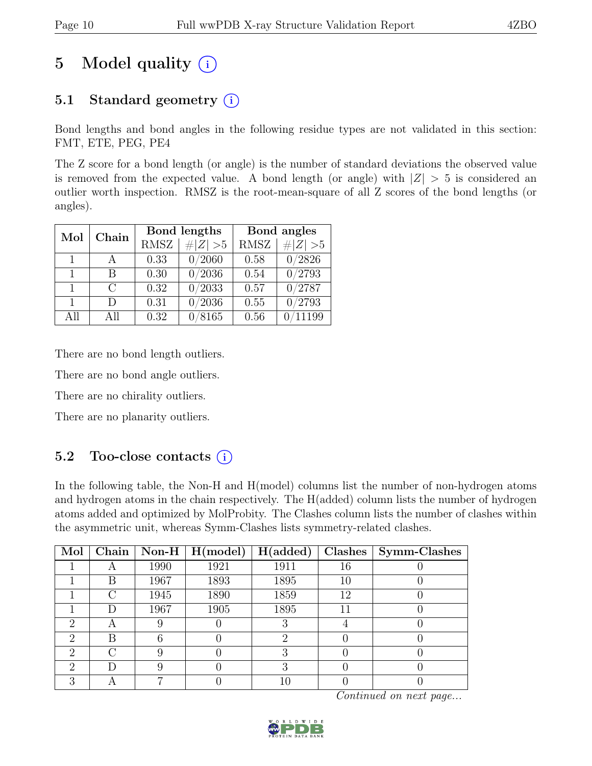# 5 Model quality  $(i)$

# 5.1 Standard geometry  $(i)$

Bond lengths and bond angles in the following residue types are not validated in this section: FMT, ETE, PEG, PE4

The Z score for a bond length (or angle) is the number of standard deviations the observed value is removed from the expected value. A bond length (or angle) with  $|Z| > 5$  is considered an outlier worth inspection. RMSZ is the root-mean-square of all Z scores of the bond lengths (or angles).

| Mol          | Chain  |             | Bond lengths | Bond angles |                 |  |
|--------------|--------|-------------|--------------|-------------|-----------------|--|
|              |        | <b>RMSZ</b> | # $ Z  > 5$  | <b>RMSZ</b> | # $ Z  > 5$     |  |
| 1            |        | 0.33        | 0/2060       | 0.58        | 0/2826          |  |
| 1            | В      | 0.30        | 0/2036       | 0.54        | $\sqrt{0/2793}$ |  |
| $\mathbf{1}$ | $\cap$ | 0.32        | 0/2033       | 0.57        | 0/2787          |  |
| $\mathbf{1}$ | D      | 0.31        | 0/2036       | 0.55        | 0/2793          |  |
| All          | All    | 0.32        | 0/8165       | 0.56        | 11199           |  |

There are no bond length outliers.

There are no bond angle outliers.

There are no chirality outliers.

There are no planarity outliers.

# 5.2 Too-close contacts (i)

In the following table, the Non-H and H(model) columns list the number of non-hydrogen atoms and hydrogen atoms in the chain respectively. The H(added) column lists the number of hydrogen atoms added and optimized by MolProbity. The Clashes column lists the number of clashes within the asymmetric unit, whereas Symm-Clashes lists symmetry-related clashes.

| Mol           | Chain |      | $\sqrt{\text{Non-H} \mid \text{H}(\text{model})}$ | H(added) | Clashes | Symm-Clashes |
|---------------|-------|------|---------------------------------------------------|----------|---------|--------------|
|               | A     | 1990 | 1921                                              | 1911     | 16      |              |
|               | В     | 1967 | 1893                                              | 1895     | 10      |              |
|               | €.    | 1945 | 1890                                              | 1859     | 12      |              |
|               | D     | 1967 | 1905                                              | 1895     |         |              |
| 2             | А     |      |                                                   |          |         |              |
| $\mathcal{D}$ | В     |      |                                                   | 2        |         |              |
| റ             | C 3   |      |                                                   | З        |         |              |
| റ             | D     |      |                                                   |          |         |              |
| ച             |       |      |                                                   |          |         |              |

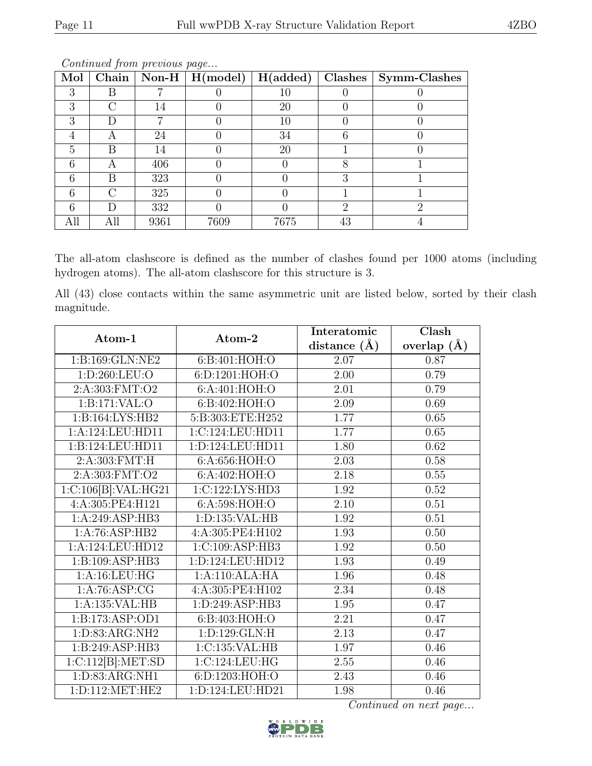| Mol | <b>Chain</b> |      | $\boxed{\text{Non-H} \mid \text{H}(\text{model})}$ | H(added) | Clashes                     | Symm-Clashes |
|-----|--------------|------|----------------------------------------------------|----------|-----------------------------|--------------|
| 3   | В            |      |                                                    | 10       |                             |              |
| 3   | 71           | 14   |                                                    | 20       |                             |              |
| З   |              |      |                                                    | 10       |                             |              |
|     | А            | 24   |                                                    | 34       |                             |              |
| 5   | В            | 14   |                                                    | 20       |                             |              |
| 6   | A            | 406  |                                                    |          |                             |              |
| հ   | В            | 323  |                                                    |          | З                           |              |
|     | 7            | 325  |                                                    |          |                             |              |
|     |              | 332  |                                                    |          | $\mathcal{D}_{\mathcal{A}}$ | റ            |
| All | All          | 9361 | 7609                                               | 7675     | 43                          |              |

Continued from previous page...

The all-atom clashscore is defined as the number of clashes found per 1000 atoms (including hydrogen atoms). The all-atom clashscore for this structure is 3.

All (43) close contacts within the same asymmetric unit are listed below, sorted by their clash magnitude.

| Atom-1                        | Atom-2            | Interatomic    | Clash           |
|-------------------------------|-------------------|----------------|-----------------|
|                               |                   | distance $(A)$ | overlap $(\AA)$ |
| 1:B:169:GLN:NE2               | 6: B:401: HOH:O   | 2.07           | 0.87            |
| 1: D:260: LEU:O               | 6:D:1201:HOH:O    | 2.00           | 0.79            |
| $2: A: 30\overline{3:FMT:O2}$ | 6:A:401:HOH:O     | 2.01           | 0.79            |
| 1:B:171:VAL:O                 | 6:B:402:HOH:O     | 2.09           | 0.69            |
| 1:B:164:LYS:HB2               | 5:B:303:ETE:H252  | 1.77           | 0.65            |
| 1:A:124:LEU:HD11              | 1:C:124:LEU:HD11  | 1.77           | 0.65            |
| 1:B:124:LEU:HD11              | 1:D:124:LEU:HD11  | 1.80           | 0.62            |
| 2:A:303:FMT:H                 | 6:A:656:HOH:O     | 2.03           | 0.58            |
| 2:A:303:FMT:O2                | 6: A:402: HOH:O   | 2.18           | 0.55            |
| 1:C:106[B]:VAL:HG21           | 1:C:122:LYS:HD3   | 1.92           | 0.52            |
| 4:A:305:PE4:H121              | 6:A:598:HOH:O     | 2.10           | 0.51            |
| 1:A:249:ASP:HB3               | 1:D:135:VAL:HB    | 1.92           | 0.51            |
| 1:A:76:ASP:HB2                | 4:A:305:PE4:H102  | 1.93           | 0.50            |
| 1:A:124:LEU:HD12              | 1:C:109:ASP:HB3   | 1.92           | 0.50            |
| 1:B:109:ASP:HB3               | 1:D:124:LEU:HD12  | 1.93           | 0.49            |
| 1:A:16:LEU:HG                 | 1:A:110:ALA:HA    | 1.96           | 0.48            |
| 1: A:76: ASP:CG               | 4:A:305:PE4:H102  | 2.34           | 0.48            |
| 1:A:135:VAL:HB                | 1:D:249:ASP:HB3   | 1.95           | 0.47            |
| 1:B:173:ASP:OD1               | 6:B:403:HOH:O     | 2.21           | 0.47            |
| 1:D:83:ARG:NH2                | 1: D: 129: GLN: H | 2.13           | 0.47            |
| 1:B:249:ASP:HB3               | 1:C:135:VAL:HB    | 1.97           | 0.46            |
| 1:C:112[B]:MET:SD             | 1:C:124:LEU:HG    | 2.55           | 0.46            |
| 1:D:83:ARG:NH1                | 6:D:1203:HOH:O    | 2.43           | 0.46            |
| 1: D: 112: MET: HE2           | 1:D:124:LEU:HD21  | 1.98           | 0.46            |

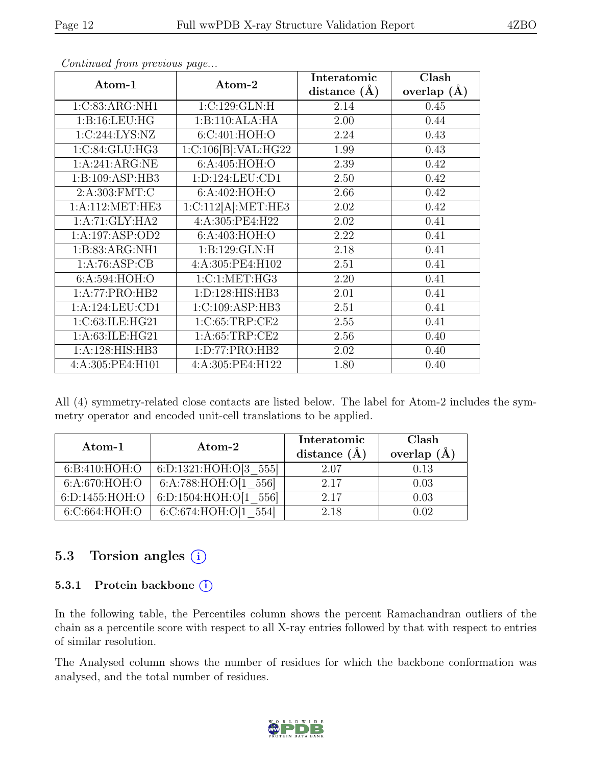| Atom-1             | Atom-2              | Interatomic      | Clash         |
|--------------------|---------------------|------------------|---------------|
|                    |                     | distance $(\AA)$ | overlap $(A)$ |
| 1:C:83:ARG:NH1     | 1:C:129:GLN:H       | 2.14             | 0.45          |
| 1:B:16:LEU:HG      | 1:B:110:ALA:HA      | 2.00             | 0.44          |
| 1:C:244:LYS:NZ     | 6:C:401:HOH:O       | 2.24             | 0.43          |
| 1:C:84:GLU:HG3     | 1:C:106[B]:VAL:HG22 | 1.99             | 0.43          |
| 1:A:241:ARG:NE     | 6:A:405:HOH:O       | 2.39             | 0.42          |
| 1:B:109:ASP:HB3    | 1: D: 124: LEU: CD1 | 2.50             | 0.42          |
| 2: A:303: FMT:C    | 6:A:402:HOH:O       | 2.66             | 0.42          |
| 1: A:112: MET:HE3  | 1:C:112[A]:MET:HE3  | 2.02             | 0.42          |
| 1:A:71:GLY:HA2     | 4:A:305:PE4:H22     | 2.02             | 0.41          |
| 1:A:197:ASP:OD2    | 6:A:403:HOH:O       | 2.22             | 0.41          |
| 1:B:83:ARG:NH1     | 1:B:129:GLN:H       | 2.18             | 0.41          |
| 1:A:76:ASP:CB      | 4:A:305:PE4:H102    | 2.51             | 0.41          |
| 6:A:594:HOH:O      | 1: C: 1: MET: HG3   | 2.20             | 0.41          |
| 1:A:77:PRO:HB2     | 1:D:128:HIS:HB3     | 2.01             | 0.41          |
| 1: A:124:LEU:CD1   | 1:C:109:ASP:HB3     | 2.51             | 0.41          |
| 1:C:63:ILE:HG21    | 1:C:65:TRP:CE2      | 2.55             | 0.41          |
| 1: A:63: ILE: HG21 | 1: A:65:TRP:CE2     | 2.56             | 0.40          |
| 1:A:128:HIS:HB3    | 1:D:77:PRO:HB2      | 2.02             | 0.40          |
| 4:A:305:PE4:H101   | 4:A:305:PE4:H122    | 1.80             | 0.40          |

Continued from previous page...

All (4) symmetry-related close contacts are listed below. The label for Atom-2 includes the symmetry operator and encoded unit-cell translations to be applied.

| $Atom-1$        | $\rm{Atom}\text{-}2$           | Interatomic<br>distance $(A)$ | Clash<br>overlap $(\AA)$ |
|-----------------|--------------------------------|-------------------------------|--------------------------|
| 6: B:410: HOH:O | 6:D:1321:HOH: $O[3 \quad 555]$ | 2.07                          | 0.13                     |
| 6: A:670: HOH:O | 6:A:788:HOH:O[1<br>5561        | 2.17                          | 0.03                     |
| 6:D:1455:HOH:O  | 6:D:1504:HOH:O[1<br>5561       | 2.17                          | 0.03                     |
| 6:C:664:HOH:O   | 6:C:674:HOH:O[                 | 2.18                          | ۱۱9                      |

### 5.3 Torsion angles (i)

#### 5.3.1 Protein backbone (i)

In the following table, the Percentiles column shows the percent Ramachandran outliers of the chain as a percentile score with respect to all X-ray entries followed by that with respect to entries of similar resolution.

The Analysed column shows the number of residues for which the backbone conformation was analysed, and the total number of residues.

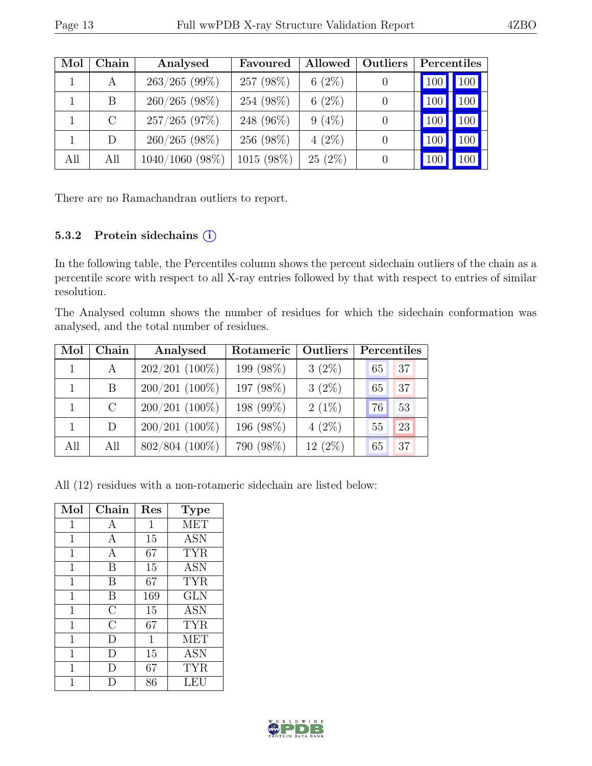| Mol | Chain   | Analysed          | Favoured   | Allowed   | Outliers | Percentiles |                  |
|-----|---------|-------------------|------------|-----------|----------|-------------|------------------|
|     | A       | $263/265$ (99%)   | 257 (98%)  | $6(2\%)$  |          | 100         | $100 \triangle$  |
|     | B       | $260/265$ (98%)   | 254 (98%)  | $6(2\%)$  |          | 100         | 100              |
|     | $\rm C$ | $257/265$ (97%)   | 248 (96%)  | $9(4\%)$  |          | 100         | 100 <sub>1</sub> |
|     | D       | $260/265$ (98%)   | 256 (98%)  | $4(2\%)$  |          | 100         | 100              |
| All | All     | $1040/1060$ (98%) | 1015 (98%) | $25(2\%)$ |          | 100         | 100 <sub>1</sub> |

There are no Ramachandran outliers to report.

#### 5.3.2 Protein sidechains (i)

In the following table, the Percentiles column shows the percent sidechain outliers of the chain as a percentile score with respect to all X-ray entries followed by that with respect to entries of similar resolution.

The Analysed column shows the number of residues for which the sidechain conformation was analysed, and the total number of residues.

| Mol | Chain         | Analysed         | Rotameric | Outliers  | Percentiles |    |
|-----|---------------|------------------|-----------|-----------|-------------|----|
|     | $\mathbf{A}$  | $202/201$ (100%) | 199 (98%) | $3(2\%)$  | 65          | 37 |
|     | B.            | $200/201$ (100%) | 197 (98%) | $3(2\%)$  | 65          | 37 |
|     | $\mathcal{C}$ | $200/201$ (100%) | 198 (99%) | $2(1\%)$  | 76          | 53 |
|     | D             | $200/201$ (100%) | 196 (98%) | $4(2\%)$  | 55          | 23 |
| All | All           | 802/804 (100%)   | 790 (98%) | $12(2\%)$ | 65          | 37 |

All (12) residues with a non-rotameric sidechain are listed below:

| Mol         | Chain                   | Res | <b>Type</b>       |
|-------------|-------------------------|-----|-------------------|
| 1           | А                       | 1   | <b>MET</b>        |
| $\mathbf 1$ | Α                       | 15  | <b>ASN</b>        |
| 1           | A                       | 67  | <b>TYR</b>        |
| $\mathbf 1$ | В                       | 15  | <b>ASN</b>        |
| $\mathbf 1$ | B                       | 67  | <b>TYR</b>        |
| 1           | В                       | 169 | <b>GLN</b>        |
| 1           | $\overline{C}$          | 15  | <b>ASN</b>        |
| $\mathbf 1$ | $\overline{\mathrm{C}}$ | 67  | <b>TYR</b>        |
| $\mathbf 1$ | D                       | 1   | MET               |
| 1           | D)                      | 15  | $\overline{A}$ SN |
| 1           | I)                      | 67  | <b>TYR</b>        |
|             |                         | 86  | LEU               |

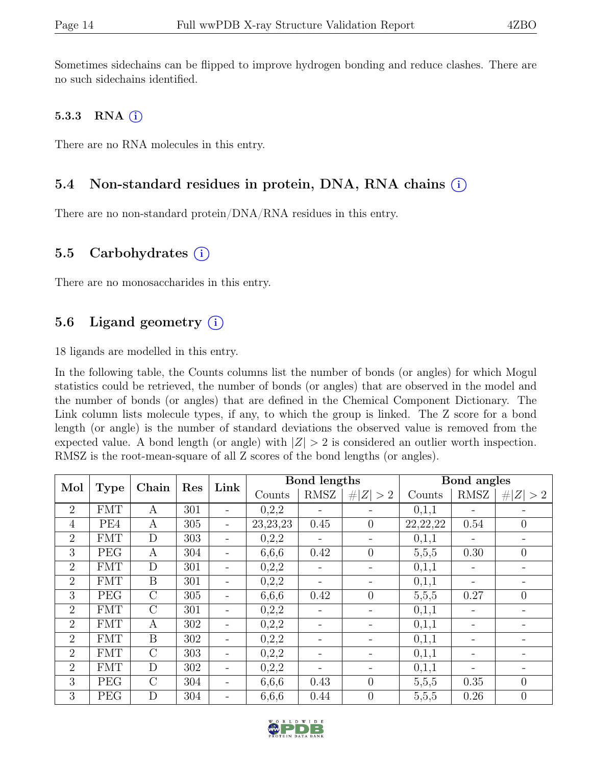Sometimes sidechains can be flipped to improve hydrogen bonding and reduce clashes. There are no such sidechains identified.

#### 5.3.3 RNA  $(i)$

There are no RNA molecules in this entry.

### 5.4 Non-standard residues in protein, DNA, RNA chains  $\circ$

There are no non-standard protein/DNA/RNA residues in this entry.

### 5.5 Carbohydrates  $(i)$

There are no monosaccharides in this entry.

### 5.6 Ligand geometry  $(i)$

18 ligands are modelled in this entry.

In the following table, the Counts columns list the number of bonds (or angles) for which Mogul statistics could be retrieved, the number of bonds (or angles) that are observed in the model and the number of bonds (or angles) that are defined in the Chemical Component Dictionary. The Link column lists molecule types, if any, to which the group is linked. The Z score for a bond length (or angle) is the number of standard deviations the observed value is removed from the expected value. A bond length (or angle) with  $|Z| > 2$  is considered an outlier worth inspection. RMSZ is the root-mean-square of all Z scores of the bond lengths (or angles).

| Mol<br><b>Type</b> |            | Chain            | Res | Link |            | Bond lengths |                          |            | Bond angles |                |
|--------------------|------------|------------------|-----|------|------------|--------------|--------------------------|------------|-------------|----------------|
|                    |            |                  |     |      | Counts     | RMSZ         | # $ Z  > 2$              | Counts     | RMSZ        | Z   > 2        |
| $\overline{2}$     | <b>FMT</b> | A                | 301 |      | 0,2,2      |              |                          | 0,1,1      |             |                |
| $\overline{4}$     | PE4        | А                | 305 |      | 23, 23, 23 | 0.45         | $\theta$                 | 22, 22, 22 | 0.54        | $\theta$       |
| 2                  | <b>FMT</b> | D                | 303 |      | 0,2,2      |              |                          | 0,1,1      |             |                |
| 3                  | PEG        | A                | 304 |      | 6,6,6      | 0.42         | $\overline{0}$           | 5,5,5      | 0.30        | $\overline{0}$ |
| 2                  | <b>FMT</b> | D                | 301 |      | 0,2,2      |              | $\overline{\phantom{0}}$ | 0,1,1      |             |                |
| 2                  | <b>FMT</b> | B                | 301 |      | 0,2,2      |              |                          | 0,1,1      |             |                |
| 3                  | PEG        | $\mathcal{C}$    | 305 |      | 6,6,6      | 0.42         | $\overline{0}$           | 5,5,5      | 0.27        | $\theta$       |
| $\overline{2}$     | <b>FMT</b> | $\mathcal{C}$    | 301 |      | 0,2,2      |              | $\overline{\phantom{0}}$ | 0,1,1      |             |                |
| 2                  | <b>FMT</b> | А                | 302 |      | 0,2,2      |              |                          | 0,1,1      |             |                |
| 2                  | <b>FMT</b> | $\boldsymbol{B}$ | 302 |      | 0,2,2      |              |                          | 0,1,1      |             |                |
| 2                  | FMT        | $\mathcal{C}$    | 303 |      | 0,2,2      |              |                          | 0,1,1      |             |                |
| 2                  | <b>FMT</b> | D                | 302 |      | 0,2,2      |              |                          | 0,1,1      |             |                |
| 3                  | <b>PEG</b> | $\overline{C}$   | 304 |      | 6,6,6      | 0.43         | $\theta$                 | 5,5,5      | 0.35        | $\theta$       |
| 3                  | PEG        | D                | 304 |      | 6,6,6      | 0.44         | $\theta$                 | 5,5,5      | 0.26        | $\overline{0}$ |

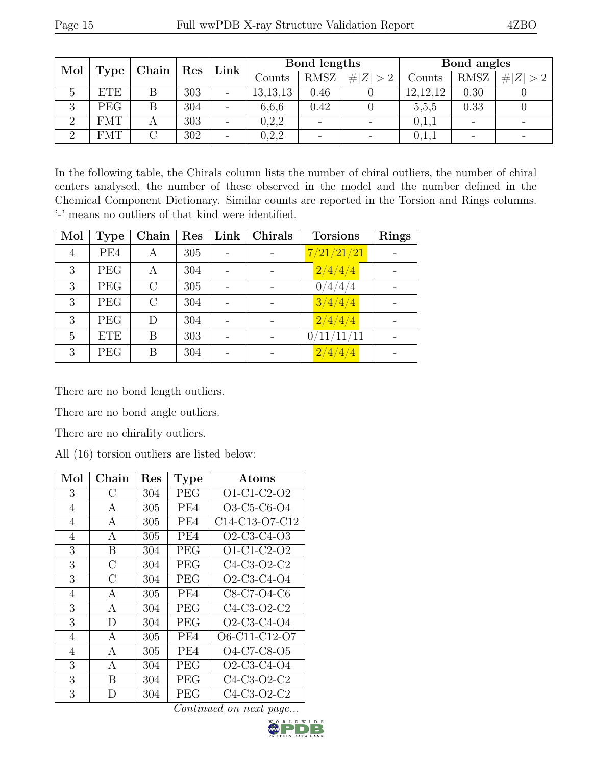| Mol<br><b>Type</b> |            | Chain | $\mid$ Res | Link | Bond lengths |             |             | Bond angles |             |                          |
|--------------------|------------|-------|------------|------|--------------|-------------|-------------|-------------|-------------|--------------------------|
|                    |            |       |            |      | Counts       | <b>RMSZ</b> | # $ Z  > 2$ | Counts      | <b>RMSZ</b> | $ Z >2$  <br>#           |
| $\mathcal{C}$      | <b>ETE</b> |       | 303        |      | 13,13,13     | 0.46        |             | 12, 12, 12  | 0.30        |                          |
| 3                  | <b>PEG</b> |       | 304        |      | 6,6,6        | 0.42        |             | 5,5,5       | 0.33        |                          |
| $\Omega$           | $\rm{FMT}$ |       | 303        |      | 0,2,2        |             |             | 0,1,1       |             | $\overline{\phantom{0}}$ |
| $\Omega$           | <b>FMT</b> |       | 302        |      | 0,2,2        |             |             | 0,1,1       |             |                          |

In the following table, the Chirals column lists the number of chiral outliers, the number of chiral centers analysed, the number of these observed in the model and the number defined in the Chemical Component Dictionary. Similar counts are reported in the Torsion and Rings columns. '-' means no outliers of that kind were identified.

| Mol            | <b>Type</b> | Chain   | Res | Link | Chirals | <b>Torsions</b>         | <b>Rings</b> |
|----------------|-------------|---------|-----|------|---------|-------------------------|--------------|
| $\overline{4}$ | PE4         | А       | 305 |      |         | 7/21/21/21              |              |
| 3              | <b>PEG</b>  | Α       | 304 |      |         | 2/4/4/4                 |              |
| 3              | PEG         | $\rm C$ | 305 |      |         | 0/4/4/4                 |              |
| 3              | <b>PEG</b>  | $\rm C$ | 304 |      |         | 3/4/4/4                 |              |
| 3              | <b>PEG</b>  | D       | 304 |      |         | 2/4/4/4                 |              |
| $\overline{5}$ | <b>ETE</b>  | B       | 303 |      |         | $0/11/\overline{11/11}$ |              |
| 3              | PEG         | Β       | 304 |      |         | 2/4/4/4                 |              |

There are no bond length outliers.

There are no bond angle outliers.

There are no chirality outliers.

All (16) torsion outliers are listed below:

| Mol            | Chain         | $\operatorname{Res}% \left( \mathcal{N}\right) \equiv\operatorname*{Res}\left( \mathcal{N}\right)$ | <b>Type</b>     | Atoms                                                             |
|----------------|---------------|----------------------------------------------------------------------------------------------------|-----------------|-------------------------------------------------------------------|
| 3              | $\rm C$       | 304                                                                                                | <b>PEG</b>      | $O1-C1-C2-O2$                                                     |
| 4              | А             | 305                                                                                                | PE4             | O3-C5-C6-O4                                                       |
| $\overline{4}$ | A             | 305                                                                                                | PE <sub>4</sub> | C <sub>14</sub> -C <sub>13</sub> -O <sub>7</sub> -C <sub>12</sub> |
| 4              | А             | 305                                                                                                | PE4             | $O2-C3-C4-O3$                                                     |
| 3              | B             | 304                                                                                                | PEG             | O1-C1-C2-O2                                                       |
| 3              | $\mathcal{C}$ | 304                                                                                                | <b>PEG</b>      | $C4-C3-O2-C2$                                                     |
| 3              | C             | 304                                                                                                | PEG             | O2-C3-C4-O4                                                       |
| $\overline{4}$ | А             | 305                                                                                                | PE4             | C8-C7-O4-C6                                                       |
| 3              | А             | 304                                                                                                | PEG             | $C4-C3-O2-C2$                                                     |
| 3              | D             | 304                                                                                                | PEG             | $O2-C3-C4-O4$                                                     |
| $\overline{4}$ | А             | 305                                                                                                | PE4             | O6-C11-C12-O7                                                     |
| $\overline{4}$ | А             | 305                                                                                                | PE4             | O4-C7-C8-O5                                                       |
| 3              | A             | 304                                                                                                | PEG             | $O2-C3-C4-O4$                                                     |
| 3              | В             | 304                                                                                                | <b>PEG</b>      | C <sub>4</sub> -C <sub>3</sub> -O <sub>2</sub> -C <sub>2</sub>    |
| 3              | D             | 304                                                                                                | PEG             | C4-C3-O2-C2                                                       |

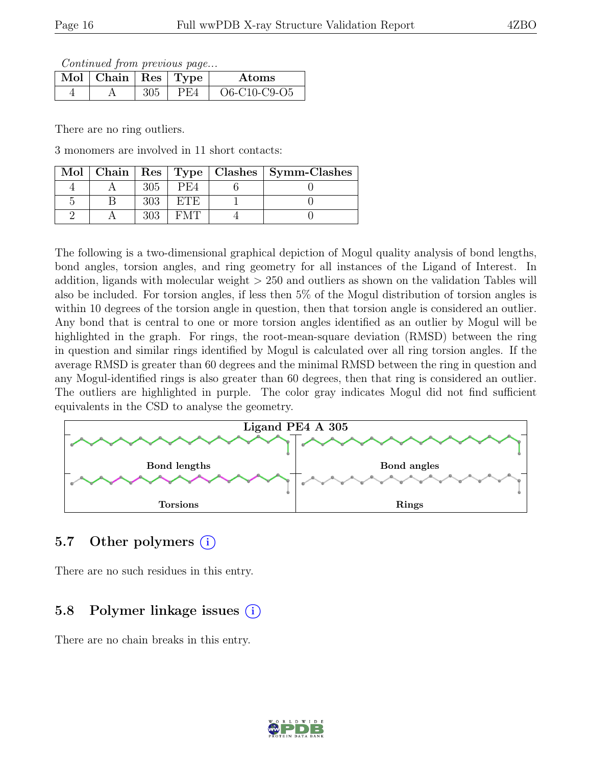Continued from previous page...

| $\parallel$ Mol $\parallel$ Chain $\parallel$ Res $\parallel$ Type |  | Atoms          |
|--------------------------------------------------------------------|--|----------------|
|                                                                    |  | $O6-C10-C9-O5$ |

There are no ring outliers.

3 monomers are involved in 11 short contacts:

|  |     |        | Mol   Chain   Res   Type   Clashes   Symm-Clashes |
|--|-----|--------|---------------------------------------------------|
|  | 305 | PE4    |                                                   |
|  |     | F.T.F. |                                                   |
|  |     |        |                                                   |

The following is a two-dimensional graphical depiction of Mogul quality analysis of bond lengths, bond angles, torsion angles, and ring geometry for all instances of the Ligand of Interest. In addition, ligands with molecular weight > 250 and outliers as shown on the validation Tables will also be included. For torsion angles, if less then 5% of the Mogul distribution of torsion angles is within 10 degrees of the torsion angle in question, then that torsion angle is considered an outlier. Any bond that is central to one or more torsion angles identified as an outlier by Mogul will be highlighted in the graph. For rings, the root-mean-square deviation (RMSD) between the ring in question and similar rings identified by Mogul is calculated over all ring torsion angles. If the average RMSD is greater than 60 degrees and the minimal RMSD between the ring in question and any Mogul-identified rings is also greater than 60 degrees, then that ring is considered an outlier. The outliers are highlighted in purple. The color gray indicates Mogul did not find sufficient equivalents in the CSD to analyse the geometry.



# 5.7 Other polymers (i)

There are no such residues in this entry.

# 5.8 Polymer linkage issues (i)

There are no chain breaks in this entry.

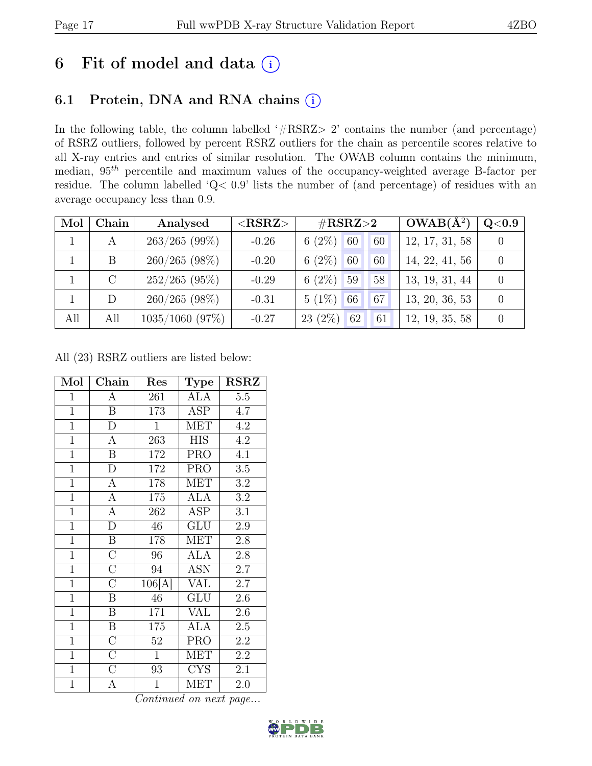# 6 Fit of model and data  $(i)$

# 6.1 Protein, DNA and RNA chains (i)

In the following table, the column labelled ' $\#\text{RSRZ}>2$ ' contains the number (and percentage) of RSRZ outliers, followed by percent RSRZ outliers for the chain as percentile scores relative to all X-ray entries and entries of similar resolution. The OWAB column contains the minimum, median,  $95<sup>th</sup>$  percentile and maximum values of the occupancy-weighted average B-factor per residue. The column labelled 'Q< 0.9' lists the number of (and percentage) of residues with an average occupancy less than 0.9.

| Mol | Chain | Analysed          | $<$ RSRZ $>$ | $\#\text{RSRZ}\text{>2}$ | $OWAB(A^2)$    | Q <sub>0.9</sub> |
|-----|-------|-------------------|--------------|--------------------------|----------------|------------------|
|     | A     | $263/265$ (99%)   | $-0.26$      | $6(2\%)$<br>60<br>60     | 12, 17, 31, 58 |                  |
|     | B     | $260/265$ (98%)   | $-0.20$      | 6 $(2\%)$<br>60<br>60    | 14, 22, 41, 56 |                  |
|     |       | $252/265$ (95%)   | $-0.29$      | 6 $(2\%)$<br>59<br>58    | 13, 19, 31, 44 |                  |
|     | D     | $260/265$ (98%)   | $-0.31$      | $5(1\%)$<br>66<br>67     | 13, 20, 36, 53 |                  |
| All | All   | $1035/1060$ (97%) | $-0.27$      | $23(2\%)$<br>62<br>61    | 12, 19, 35, 58 |                  |

All (23) RSRZ outliers are listed below:

| Mol            | Chain                   | Res              | <b>Type</b>             | $\rm RSRZ$       |
|----------------|-------------------------|------------------|-------------------------|------------------|
| $\overline{1}$ | $\overline{A}$          | 261              | <b>ALA</b>              | 5.5              |
| $\mathbf{1}$   | $\overline{\mathbf{B}}$ | 173              | ASP                     | 4.7              |
| $\overline{1}$ | $\overline{\rm D}$      | $\mathbf{1}$     | <b>MET</b>              | 4.2              |
| $\mathbf{1}$   | A                       | 263              | <b>HIS</b>              | 4.2              |
| $\overline{1}$ | $\overline{\mathrm{B}}$ | 172              | <b>PRO</b>              | 4.1              |
| $\overline{1}$ | $\overline{D}$          | <sup>1</sup> 72  | <b>PRO</b>              | 3.5              |
| $\overline{1}$ | $\overline{A}$          | 178              | <b>MET</b>              | $\!3.2\!$        |
| $\mathbf{1}$   | $\overline{A}$          | 175              | <b>ALA</b>              | $\!3.2\!$        |
| $\overline{1}$ | $\overline{A}$          | 262              | ASP                     | 3.1              |
| $\overline{1}$ | $\overline{\rm D}$      | $46\,$           | $\overline{\text{GLU}}$ | $\overline{2.9}$ |
| $\mathbf{1}$   | $\overline{\mathbf{B}}$ | 178              | <b>MET</b>              | 2.8              |
| $\overline{1}$ | $\overline{\rm C}$      | 96               | <b>ALA</b>              | 2.8              |
| $\mathbf{1}$   | $\overline{C}$          | 94               | <b>ASN</b>              | 2.7              |
| $\mathbf{1}$   | $\overline{\rm C}$      | 106[A]           | <b>VAL</b>              | 2.7              |
| $\overline{1}$ | $\overline{\mathbf{B}}$ | 46               | GLU                     | 2.6              |
| $\mathbf{1}$   | $\overline{B}$          | $\overline{1}71$ | <b>VAL</b>              | 2.6              |
| $\overline{1}$ | $\overline{\mathrm{B}}$ | 175              | <b>ALA</b>              | $2.5\,$          |
| $\mathbf{1}$   | $\overline{\rm C}$      | 52               | <b>PRO</b>              | 2.2              |
| $\overline{1}$ | $\overline{\mathrm{C}}$ | $\mathbf{1}$     | $\overline{\text{MET}}$ | 2.2              |
| $\overline{1}$ | $\overline{C}$          | 93               | <b>CYS</b>              | 2.1              |
| $\overline{1}$ | А                       | $\mathbf{1}$     | MET                     | 2.0              |

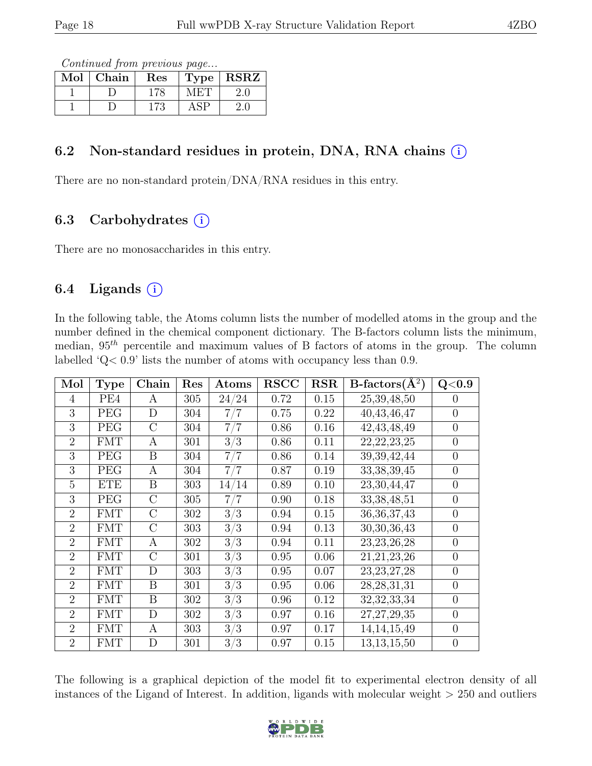Continued from previous page...

| $\operatorname{Mol}$ | Chain | $\operatorname{Res}% \left( \mathcal{N}\right) \equiv\operatorname{Res}(\mathcal{N}_{0},\mathcal{N}_{0})$ | <b>Type</b> | <b>RSRZ</b> |
|----------------------|-------|-----------------------------------------------------------------------------------------------------------|-------------|-------------|
|                      |       |                                                                                                           |             |             |
|                      |       |                                                                                                           |             |             |

### 6.2 Non-standard residues in protein, DNA, RNA chains  $(i)$

There are no non-standard protein/DNA/RNA residues in this entry.

# 6.3 Carbohydrates  $(i)$

There are no monosaccharides in this entry.

# 6.4 Ligands  $(i)$

In the following table, the Atoms column lists the number of modelled atoms in the group and the number defined in the chemical component dictionary. The B-factors column lists the minimum, median,  $95<sup>th</sup>$  percentile and maximum values of B factors of atoms in the group. The column labelled 'Q< 0.9' lists the number of atoms with occupancy less than 0.9.

| Mol            | <b>Type</b> | Chain   | Res | Atoms             | <b>RSCC</b> | RSR  | $B\text{-}factors(\AA^2)$ | Q <sub>0.9</sub> |
|----------------|-------------|---------|-----|-------------------|-------------|------|---------------------------|------------------|
| 4              | PE4         | A       | 305 | 24/24             | 0.72        | 0.15 | 25,39,48,50               | $\Omega$         |
| 3              | PEG         | D       | 304 | 7/7               | 0.75        | 0.22 | $\overline{40,}43,46,47$  | $\overline{0}$   |
| 3              | <b>PEG</b>  | $\rm C$ | 304 | 7/7               | 0.86        | 0.16 | 42, 43, 48, 49            | $\overline{0}$   |
| $\overline{2}$ | <b>FMT</b>  | A       | 301 | 3/3               | 0.86        | 0.11 | 22, 22, 23, 25            | $\overline{0}$   |
| 3              | PEG         | B       | 304 | 7/7               | 0.86        | 0.14 | 39, 39, 42, 44            | $\overline{0}$   |
| 3              | PEG         | А       | 304 | 7/7               | 0.87        | 0.19 | 33, 38, 39, 45            | $\theta$         |
| 5              | <b>ETE</b>  | B       | 303 | $\sqrt{14}$<br>14 | 0.89        | 0.10 | 23,30,44,47               | $\theta$         |
| 3              | PEG         | $\rm C$ | 305 | 7 <sub>1</sub>    | 0.90        | 0.18 | 33, 38, 48, 51            | $\theta$         |
| $\overline{2}$ | <b>FMT</b>  | $\rm C$ | 302 | 3/3               | 0.94        | 0.15 | 36, 36, 37, 43            | $\overline{0}$   |
| $\overline{2}$ | <b>FMT</b>  | $\rm C$ | 303 | 3/3               | 0.94        | 0.13 | 30, 30, 36, 43            | $\overline{0}$   |
| $\overline{2}$ | <b>FMT</b>  | Α       | 302 | 3/3               | 0.94        | 0.11 | 23, 23, 26, 28            | $\theta$         |
| $\overline{2}$ | <b>FMT</b>  | $\rm C$ | 301 | 3/3               | 0.95        | 0.06 | 21, 21, 23, 26            | $\overline{0}$   |
| $\overline{2}$ | <b>FMT</b>  | D       | 303 | 3/3               | 0.95        | 0.07 | 23, 23, 27, 28            | $\Omega$         |
| $\mathfrak{D}$ | <b>FMT</b>  | B       | 301 | 3/3               | 0.95        | 0.06 | 28, 28, 31, 31            | $\overline{0}$   |
| $\overline{2}$ | <b>FMT</b>  | B       | 302 | 3/3               | 0.96        | 0.12 | 32, 32, 33, 34            | $\theta$         |
| $\overline{2}$ | <b>FMT</b>  | D       | 302 | 3/3               | 0.97        | 0.16 | 27, 27, 29, 35            | $\overline{0}$   |
| $\overline{2}$ | <b>FMT</b>  | А       | 303 | 3/3               | 0.97        | 0.17 | 14, 14, 15, 49            | $\overline{0}$   |
| $\overline{2}$ | <b>FMT</b>  | D       | 301 | 3/3               | 0.97        | 0.15 | 13, 13, 15, 50            | $\overline{0}$   |

The following is a graphical depiction of the model fit to experimental electron density of all instances of the Ligand of Interest. In addition, ligands with molecular weight  $> 250$  and outliers